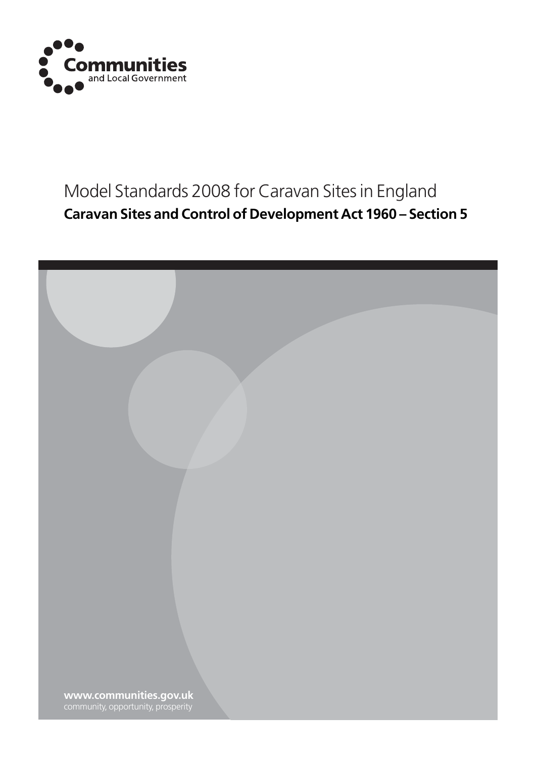

# Model Standards 2008 for Caravan Sites in England **Caravan Sites and Control of Development Act 1960 – Section 5**

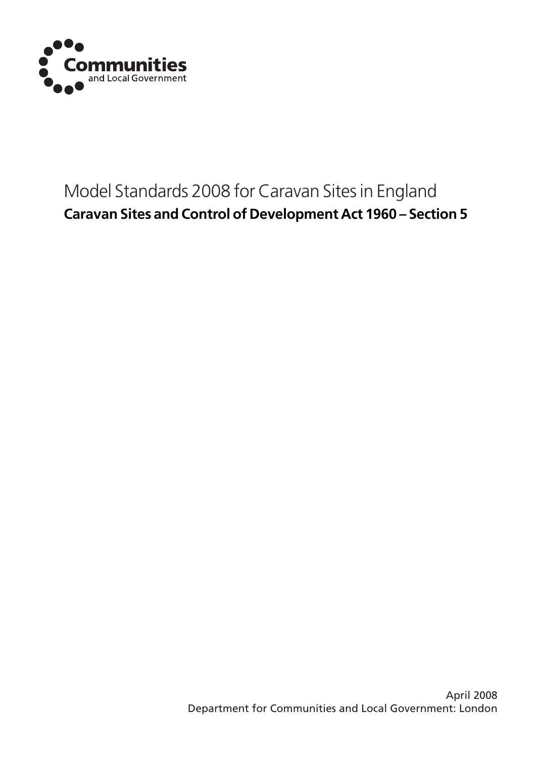

# Model Standards 2008 for Caravan Sites in England **Caravan Sites and Control of Development Act 1960 – Section 5**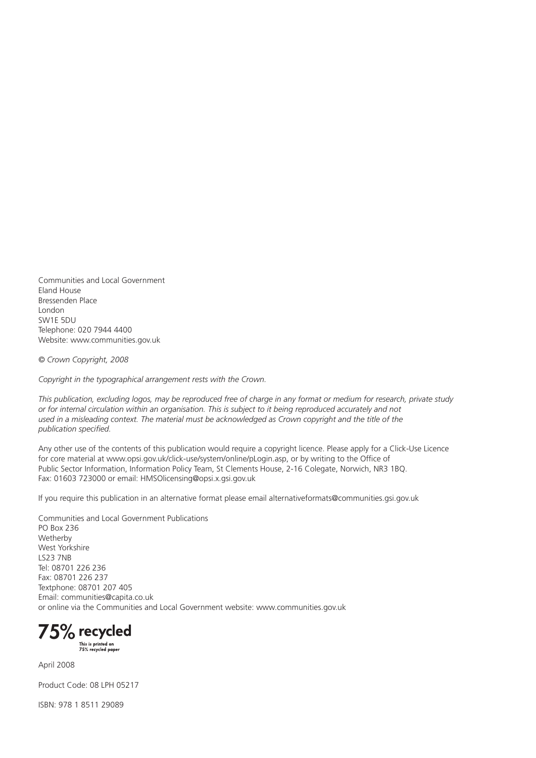Communities and Local Government Eland House Bressenden Place London SW1E 5DU Telephone: 020 7944 4400 Website: www.communities.gov.uk

*© Crown Copyright, 2008*

*Copyright in the typographical arrangement rests with the Crown.*

*This publication, excluding logos, may be reproduced free of charge in any format or medium for research, private study or for internal circulation within an organisation. This is subject to it being reproduced accurately and not*  used in a misleading context. The material must be acknowledged as Crown copyright and the title of the *publication specified.*

Any other use of the contents of this publication would require a copyright licence. Please apply for a Click-Use Licence for core material at www.opsi.gov.uk/click-use/system/online/pLogin.asp, or by writing to the Office of Public Sector Information, Information Policy Team, St Clements House, 2-16 Colegate, Norwich, NR3 1BQ. Fax: 01603 723000 or email: HMSOlicensing@opsi.x.gsi.gov.uk

If you require this publication in an alternative format please email alternativeformats@communities.gsi.gov.uk

Communities and Local Government Publications PO Box 236 Wetherby West Yorkshire LS23 7NB Tel: 08701 226 236 Fax: 08701 226 237 Textphone: 08701 207 405 Email: communities@capita.co.uk or online via the Communities and Local Government website: www.communities.gov.uk

75% recycled

This is printed on<br>75% recycled paper

April 2008

Product Code: 08 LPH 05217

ISBN: 978 1 8511 29089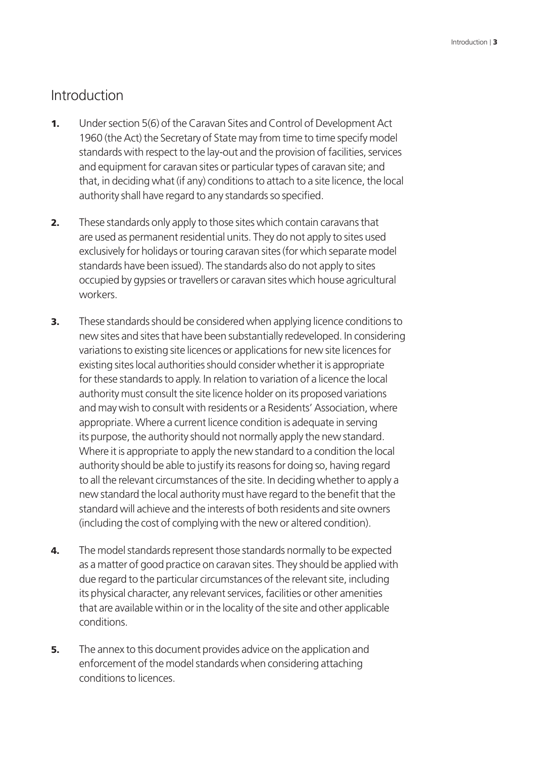### Introduction

- **1.** Under section 5(6) of the Caravan Sites and Control of Development Act 1960 (the Act) the Secretary of State may from time to time specify model standards with respect to the lay-out and the provision of facilities, services and equipment for caravan sites or particular types of caravan site; and that, in deciding what (if any) conditions to attach to a site licence, the local authority shall have regard to any standards so specified.
- **2.** These standards only apply to those sites which contain caravans that are used as permanent residential units. They do not apply to sites used exclusively for holidays or touring caravan sites (for which separate model standards have been issued). The standards also do not apply to sites occupied by gypsies or travellers or caravan sites which house agricultural workers.
- **3.** These standards should be considered when applying licence conditions to new sites and sites that have been substantially redeveloped. In considering variations to existing site licences or applications for new site licences for existing sites local authorities should consider whether it is appropriate for these standards to apply. In relation to variation of a licence the local authority must consult the site licence holder on its proposed variations and may wish to consult with residents or a Residents' Association, where appropriate. Where a current licence condition is adequate in serving its purpose, the authority should not normally apply the new standard. Where it is appropriate to apply the new standard to a condition the local authority should be able to justify its reasons for doing so, having regard to all the relevant circumstances of the site. In deciding whether to apply a new standard the local authority must have regard to the benefit that the standard will achieve and the interests of both residents and site owners (including the cost of complying with the new or altered condition).
- **4.** The model standards represent those standards normally to be expected as a matter of good practice on caravan sites. They should be applied with due regard to the particular circumstances of the relevant site, including its physical character, any relevant services, facilities or other amenities that are available within or in the locality of the site and other applicable conditions.
- **5.** The annex to this document provides advice on the application and enforcement of the model standards when considering attaching conditions to licences.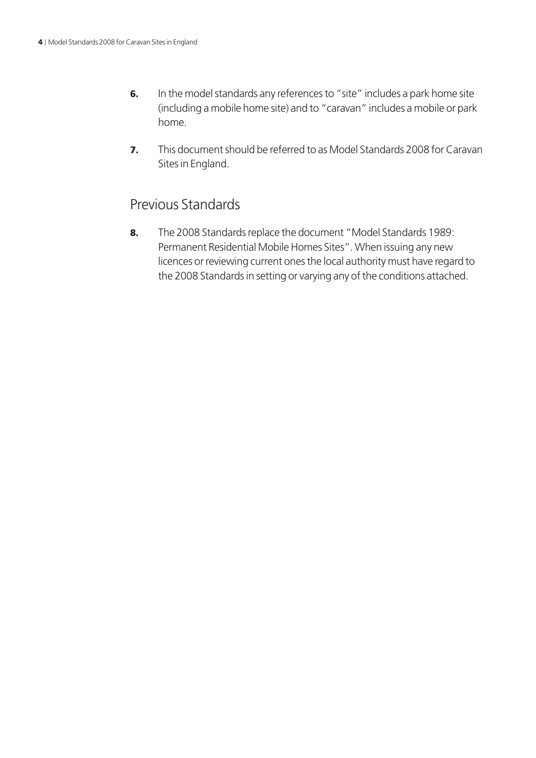- 6. In the model standards any references to "site" includes a park home site (including a mobile home site) and to "caravan" includes a mobile or park home.
- 7. This document should be referred to as Model Standards 2008 for Caravan Sites in England.

### Previous Standards

8. The 2008 Standards replace the document "Model Standards 1989: Permanent Residential Mobile Homes Sites". When issuing any new licences or reviewing current ones the local authority must have regard to the 2008 Standards in setting or varying any of the conditions attached.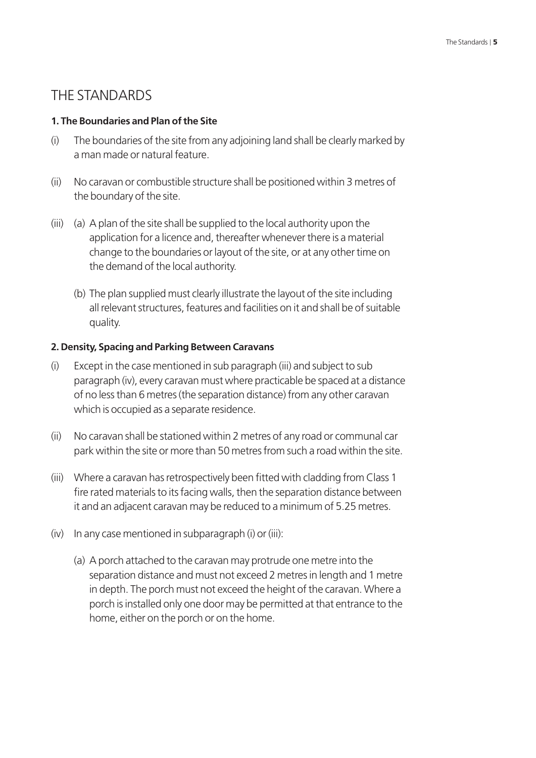### THE STANDARDS

#### **1. The Boundaries and Plan of the Site**

- (i) The boundaries of the site from any adjoining land shall be clearly marked by a man made or natural feature.
- (ii) No caravan or combustible structure shall be positioned within 3 metres of the boundary of the site.
- (iii) (a) A plan of the site shall be supplied to the local authority upon the application for a licence and, thereafter whenever there is a material change to the boundaries or layout of the site, or at any other time on the demand of the local authority.
	- (b) The plan supplied must clearly illustrate the layout of the site including all relevant structures, features and facilities on it and shall be of suitable quality.

#### **2. Density, Spacing and Parking Between Caravans**

- (i) Except in the case mentioned in sub paragraph (iii) and subject to sub paragraph (iv), every caravan must where practicable be spaced at a distance of no less than 6 metres (the separation distance) from any other caravan which is occupied as a separate residence.
- (ii) No caravan shall be stationed within 2 metres of any road or communal car park within the site or more than 50 metres from such a road within the site.
- (iii) Where a caravan has retrospectively been fitted with cladding from Class 1 fire rated materials to its facing walls, then the separation distance between it and an adjacent caravan may be reduced to a minimum of 5.25 metres.
- (iv) In any case mentioned in subparagraph (i) or (iii):
	- (a) A porch attached to the caravan may protrude one metre into the separation distance and must not exceed 2 metres in length and 1 metre in depth. The porch must not exceed the height of the caravan. Where a porch is installed only one door may be permitted at that entrance to the home, either on the porch or on the home.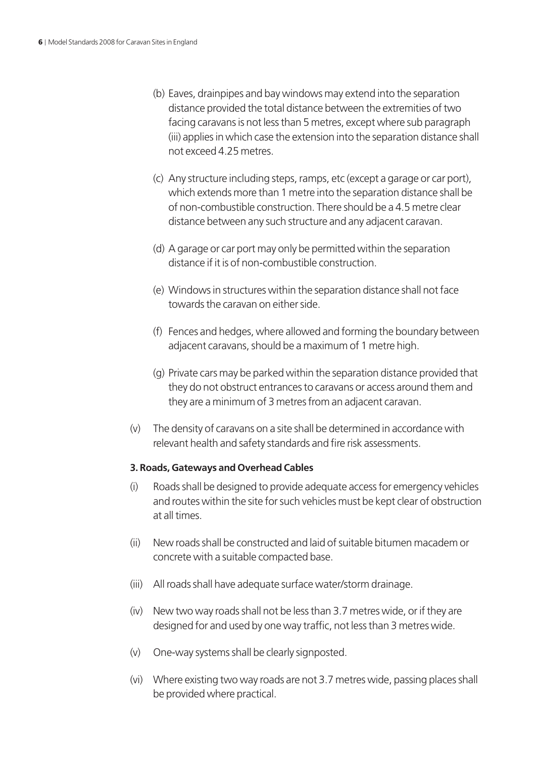- (b) Eaves, drainpipes and bay windows may extend into the separation distance provided the total distance between the extremities of two facing caravans is not less than 5 metres, except where sub paragraph (iii) applies in which case the extension into the separation distance shall not exceed 4.25 metres.
- (c) Any structure including steps, ramps, etc (except a garage or car port), which extends more than 1 metre into the separation distance shall be of non-combustible construction. There should be a 4.5 metre clear distance between any such structure and any adjacent caravan.
- (d) A garage or car port may only be permitted within the separation distance if it is of non-combustible construction.
- (e) Windows in structures within the separation distance shall not face towards the caravan on either side.
- (f) Fences and hedges, where allowed and forming the boundary between adjacent caravans, should be a maximum of 1 metre high.
- (g) Private cars may be parked within the separation distance provided that they do not obstruct entrances to caravans or access around them and they are a minimum of 3 metres from an adjacent caravan.
- (v) The density of caravans on a site shall be determined in accordance with relevant health and safety standards and fire risk assessments.

### **3. Roads, Gateways and Overhead Cables**

- (i) Roads shall be designed to provide adequate access for emergency vehicles and routes within the site for such vehicles must be kept clear of obstruction at all times.
- (ii) New roads shall be constructed and laid of suitable bitumen macadem or concrete with a suitable compacted base.
- (iii) All roads shall have adequate surface water/storm drainage.
- (iv) New two way roads shall not be less than 3.7 metres wide, or if they are designed for and used by one way traffic, not less than 3 metres wide.
- (v) One-way systems shall be clearly signposted.
- (vi) Where existing two way roads are not 3.7 metres wide, passing places shall be provided where practical.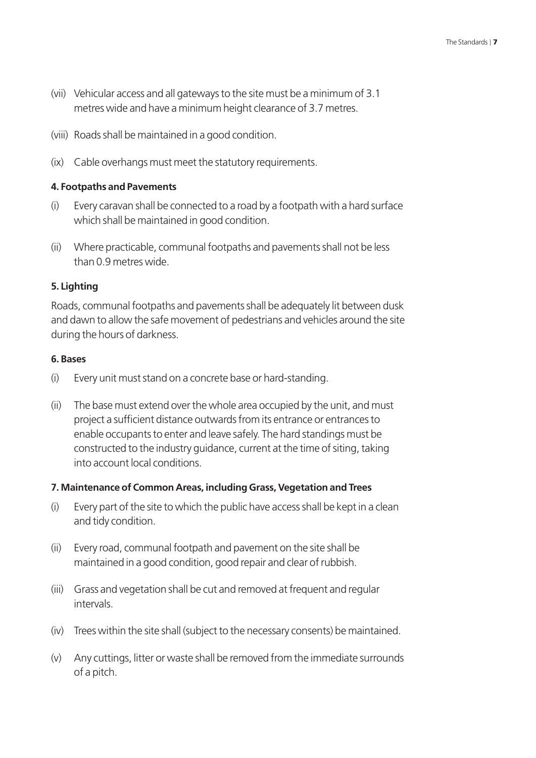- (vii) Vehicular access and all gateways to the site must be a minimum of 3.1 metres wide and have a minimum height clearance of 3.7 metres.
- (viii) Roads shall be maintained in a good condition.
- (ix) Cable overhangs must meet the statutory requirements.

### **4. Footpaths and Pavements**

- (i) Every caravan shall be connected to a road by a footpath with a hard surface which shall be maintained in good condition.
- (ii) Where practicable, communal footpaths and pavements shall not be less than 0.9 metres wide.

### **5. Lighting**

Roads, communal footpaths and pavements shall be adequately lit between dusk and dawn to allow the safe movement of pedestrians and vehicles around the site during the hours of darkness.

#### **6. Bases**

- (i) Every unit must stand on a concrete base or hard-standing.
- (ii) The base must extend over the whole area occupied by the unit, and must project a sufficient distance outwards from its entrance or entrances to enable occupants to enter and leave safely. The hard standings must be constructed to the industry guidance, current at the time of siting, taking into account local conditions.

### **7. Maintenance of Common Areas, including Grass, Vegetation and Trees**

- (i) Every part of the site to which the public have access shall be kept in a clean and tidy condition.
- (ii) Every road, communal footpath and pavement on the site shall be maintained in a good condition, good repair and clear of rubbish.
- (iii) Grass and vegetation shall be cut and removed at frequent and regular intervals.
- (iv) Trees within the site shall (subject to the necessary consents) be maintained.
- (v) Any cuttings, litter or waste shall be removed from the immediate surrounds of a pitch.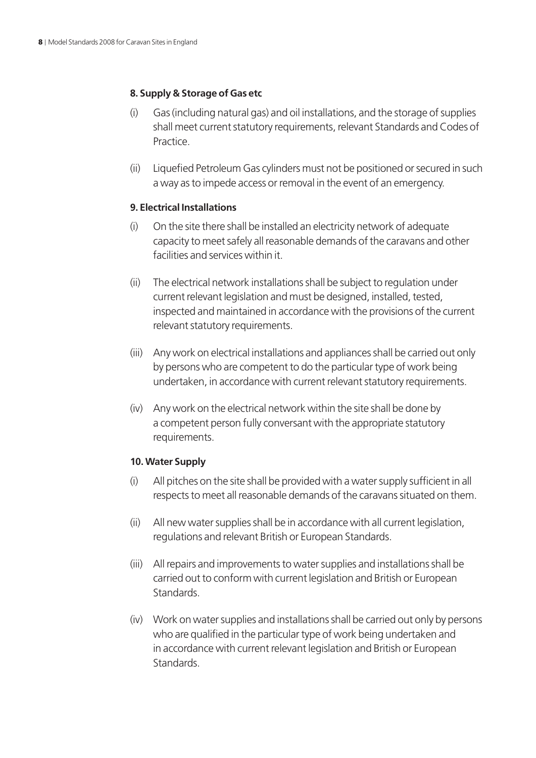### **8. Supply & Storage of Gas etc**

- (i) Gas (including natural gas) and oil installations, and the storage of supplies shall meet current statutory requirements, relevant Standards and Codes of Practice.
- (ii) Liquefied Petroleum Gas cylinders must not be positioned or secured in such a way as to impede access or removal in the event of an emergency.

#### **9. Electrical Installations**

- (i) On the site there shall be installed an electricity network of adequate capacity to meet safely all reasonable demands of the caravans and other facilities and services within it.
- (ii) The electrical network installations shall be subject to regulation under current relevant legislation and must be designed, installed, tested, inspected and maintained in accordance with the provisions of the current relevant statutory requirements.
- (iii) Any work on electrical installations and appliances shall be carried out only by persons who are competent to do the particular type of work being undertaken, in accordance with current relevant statutory requirements.
- (iv) Any work on the electrical network within the site shall be done by a competent person fully conversant with the appropriate statutory requirements.

### **10. Water Supply**

- (i) All pitches on the site shall be provided with a water supply sufficient in all respects to meet all reasonable demands of the caravans situated on them.
- (ii) All new water supplies shall be in accordance with all current legislation, regulations and relevant British or European Standards.
- (iii) All repairs and improvements to water supplies and installations shall be carried out to conform with current legislation and British or European Standards.
- (iv) Work on water supplies and installations shall be carried out only by persons who are qualified in the particular type of work being undertaken and in accordance with current relevant legislation and British or European Standards.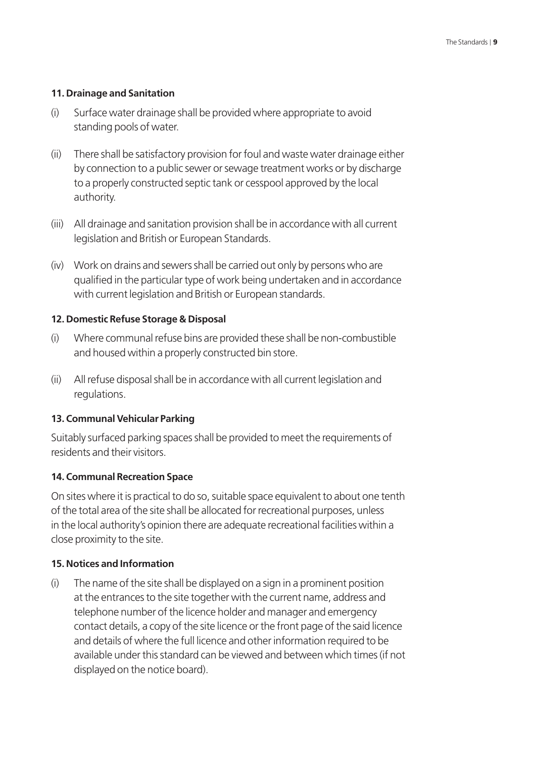#### **11. Drainage and Sanitation**

- (i) Surface water drainage shall be provided where appropriate to avoid standing pools of water.
- (ii) There shall be satisfactory provision for foul and waste water drainage either by connection to a public sewer or sewage treatment works or by discharge to a properly constructed septic tank or cesspool approved by the local authority.
- (iii) All drainage and sanitation provision shall be in accordance with all current legislation and British or European Standards.
- (iv) Work on drains and sewers shall be carried out only by persons who are qualified in the particular type of work being undertaken and in accordance with current legislation and British or European standards.

#### **12. Domestic Refuse Storage & Disposal**

- (i) Where communal refuse bins are provided these shall be non-combustible and housed within a properly constructed bin store.
- (ii) All refuse disposal shall be in accordance with all current legislation and regulations.

#### **13. Communal Vehicular Parking**

Suitably surfaced parking spaces shall be provided to meet the requirements of residents and their visitors.

### **14. Communal Recreation Space**

On sites where it is practical to do so, suitable space equivalent to about one tenth of the total area of the site shall be allocated for recreational purposes, unless in the local authority's opinion there are adequate recreational facilities within a close proximity to the site.

#### **15. Notices and Information**

(i) The name of the site shall be displayed on a sign in a prominent position at the entrances to the site together with the current name, address and telephone number of the licence holder and manager and emergency contact details, a copy of the site licence or the front page of the said licence and details of where the full licence and other information required to be available under this standard can be viewed and between which times (if not displayed on the notice board).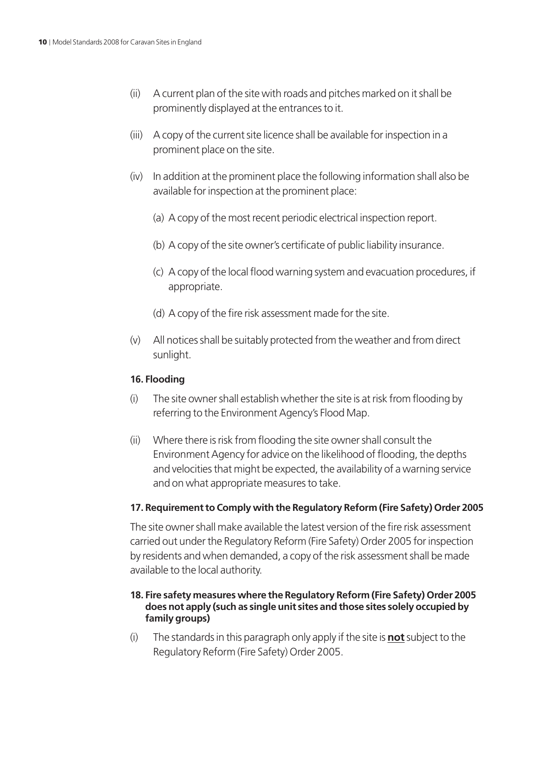- (ii) A current plan of the site with roads and pitches marked on it shall be prominently displayed at the entrances to it.
- (iii) A copy of the current site licence shall be available for inspection in a prominent place on the site.
- (iv) In addition at the prominent place the following information shall also be available for inspection at the prominent place:
	- (a) A copy of the most recent periodic electrical inspection report.
	- (b) A copy of the site owner's certificate of public liability insurance.
	- (c) A copy of the local flood warning system and evacuation procedures, if appropriate.
	- (d) A copy of the fire risk assessment made for the site.
- (v) All notices shall be suitably protected from the weather and from direct sunlight.

### **16. Flooding**

- (i) The site owner shall establish whether the site is at risk from flooding by referring to the Environment Agency's Flood Map.
- (ii) Where there is risk from flooding the site owner shall consult the Environment Agency for advice on the likelihood of flooding, the depths and velocities that might be expected, the availability of a warning service and on what appropriate measures to take.

### **17. Requirement to Comply with the Regulatory Reform (Fire Safety) Order 2005**

The site owner shall make available the latest version of the fire risk assessment carried out under the Regulatory Reform (Fire Safety) Order 2005 for inspection by residents and when demanded, a copy of the risk assessment shall be made available to the local authority.

### **18. Fire safety measures where the Regulatory Reform (Fire Safety) Order 2005 does not apply (such as single unit sites and those sites solely occupied by family groups)**

(i) The standards in this paragraph only apply if the site is **not** subject to the Regulatory Reform (Fire Safety) Order 2005.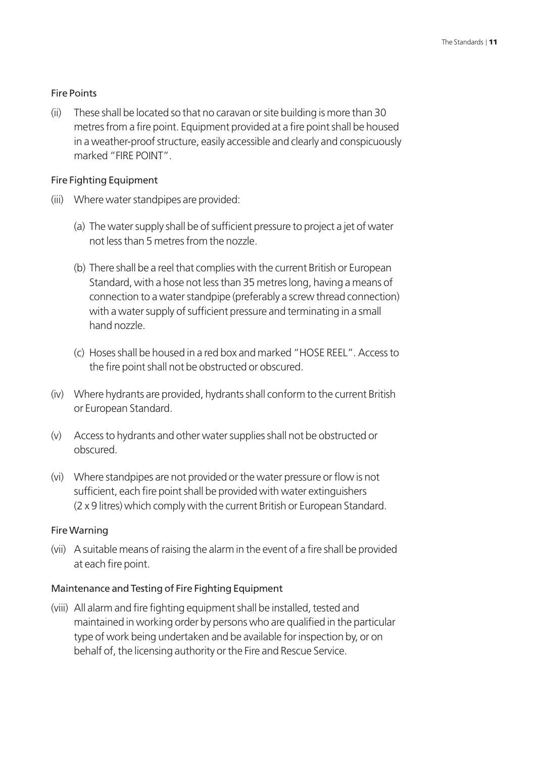#### Fire Points

(ii) These shall be located so that no caravan or site building is more than 30 metres from a fire point. Equipment provided at a fire point shall be housed in a weather-proof structure, easily accessible and clearly and conspicuously marked "FIRE POINT".

#### Fire Fighting Equipment

- (iii) Where water standpipes are provided:
	- (a) The water supply shall be of sufficient pressure to project a jet of water not less than 5 metres from the nozzle.
	- (b) There shall be a reel that complies with the current British or European Standard, with a hose not less than 35 metres long, having a means of connection to a water standpipe (preferably a screw thread connection) with a water supply of sufficient pressure and terminating in a small hand nozzle.
	- (c) Hoses shall be housed in a red box and marked "HOSE REEL". Access to the fire point shall not be obstructed or obscured.
- (iv) Where hydrants are provided, hydrants shall conform to the current British or European Standard.
- (v) Access to hydrants and other water supplies shall not be obstructed or obscured.
- (vi) Where standpipes are not provided or the water pressure or flow is not sufficient, each fire point shall be provided with water extinguishers (2 x 9 litres) which comply with the current British or European Standard.

#### Fire Warning

(vii) A suitable means of raising the alarm in the event of a fire shall be provided at each fire point.

#### Maintenance and Testing of Fire Fighting Equipment

(viii) All alarm and fire fighting equipment shall be installed, tested and maintained in working order by persons who are qualified in the particular type of work being undertaken and be available for inspection by, or on behalf of, the licensing authority or the Fire and Rescue Service.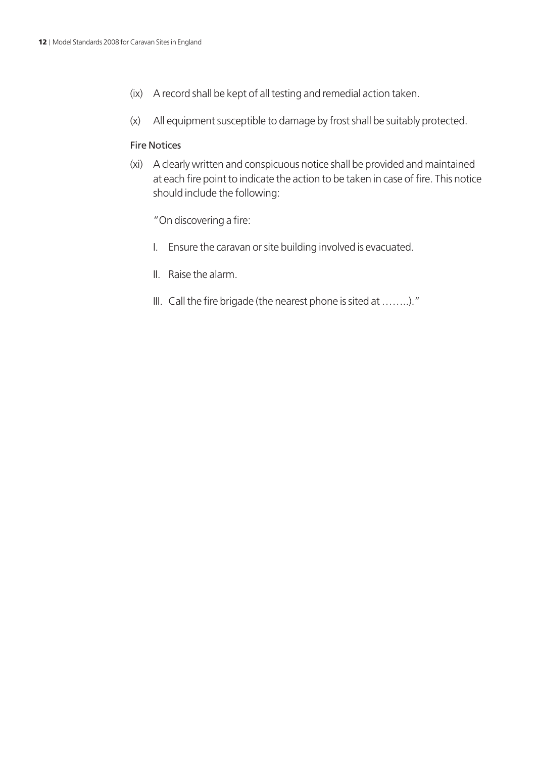- (ix) A record shall be kept of all testing and remedial action taken.
- (x) All equipment susceptible to damage by frost shall be suitably protected.

#### Fire Notices

- (xi) A clearly written and conspicuous notice shall be provided and maintained at each fire point to indicate the action to be taken in case of fire. This notice should include the following:
	- "On discovering a fire:
	- I. Ensure the caravan or site building involved is evacuated.
	- II. Raise the alarm.
	- III. Call the fire brigade (the nearest phone is sited at ……..)."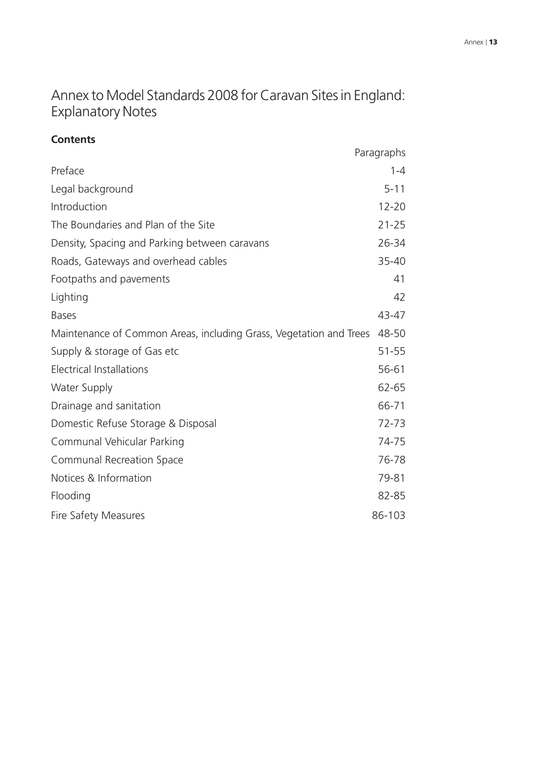## Annex to Model Standards 2008 for Caravan Sites in England: Explanatory Notes

### **Contents**

|                                                                    | Paragraphs |
|--------------------------------------------------------------------|------------|
| Preface                                                            | $1 - 4$    |
| Legal background                                                   | $5 - 11$   |
| Introduction                                                       | $12 - 20$  |
| The Boundaries and Plan of the Site                                | $21 - 25$  |
| Density, Spacing and Parking between caravans                      | 26-34      |
| Roads, Gateways and overhead cables                                | 35-40      |
| Footpaths and pavements                                            | 41         |
| Lighting                                                           | 42         |
| <b>Bases</b>                                                       | 43-47      |
| Maintenance of Common Areas, including Grass, Vegetation and Trees | 48-50      |
| Supply & storage of Gas etc                                        | $51 - 55$  |
| <b>Electrical Installations</b>                                    | 56-61      |
| <b>Water Supply</b>                                                | 62-65      |
| Drainage and sanitation                                            | 66-71      |
| Domestic Refuse Storage & Disposal                                 | 72-73      |
| Communal Vehicular Parking                                         | 74-75      |
| <b>Communal Recreation Space</b>                                   | 76-78      |
| Notices & Information                                              | 79-81      |
| Flooding                                                           | 82-85      |
| Fire Safety Measures                                               | 86-103     |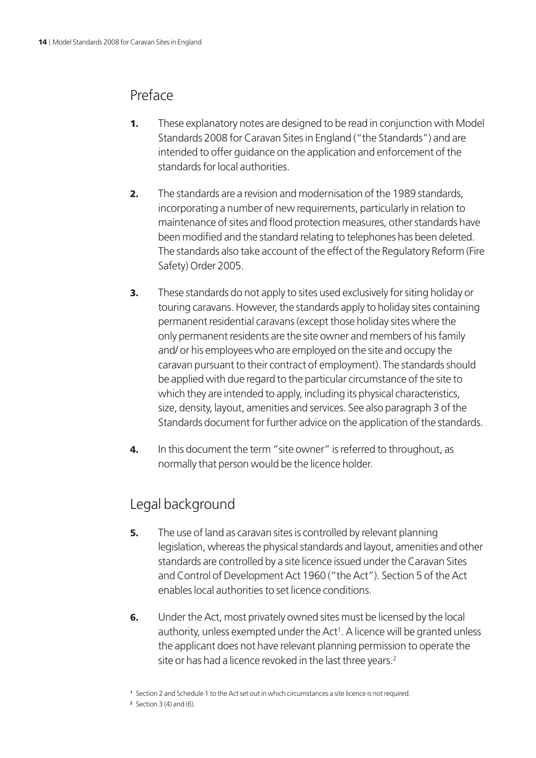### Preface

- **1.** These explanatory notes are designed to be read in conjunction with Model Standards 2008 for Caravan Sites in England ("the Standards") and are intended to offer guidance on the application and enforcement of the standards for local authorities.
- **2.** The standards are a revision and modernisation of the 1989 standards, incorporating a number of new requirements, particularly in relation to maintenance of sites and flood protection measures, other standards have been modified and the standard relating to telephones has been deleted. The standards also take account of the effect of the Regulatory Reform (Fire Safety) Order 2005.
- **3.** These standards do not apply to sites used exclusively for siting holiday or touring caravans. However, the standards apply to holiday sites containing permanent residential caravans (except those holiday sites where the only permanent residents are the site owner and members of his family and/ or his employees who are employed on the site and occupy the caravan pursuant to their contract of employment). The standards should be applied with due regard to the particular circumstance of the site to which they are intended to apply, including its physical characteristics, size, density, layout, amenities and services. See also paragraph 3 of the Standards document for further advice on the application of the standards.
- 4. In this document the term "site owner" is referred to throughout, as normally that person would be the licence holder.

## Legal background

- **5.** The use of land as caravan sites is controlled by relevant planning legislation, whereas the physical standards and layout, amenities and other standards are controlled by a site licence issued under the Caravan Sites and Control of Development Act 1960 ("the Act"). Section 5 of the Act enables local authorities to set licence conditions.
- 6. Under the Act, most privately owned sites must be licensed by the local authority, unless exempted under the Act<sup>1</sup>. A licence will be granted unless the applicant does not have relevant planning permission to operate the site or has had a licence revoked in the last three years.<sup>2</sup>

**<sup>1</sup>** Section 2 and Schedule 1 to the Act set out in which circumstances a site licence is not required.

**<sup>2</sup>** Section 3 (4) and (6).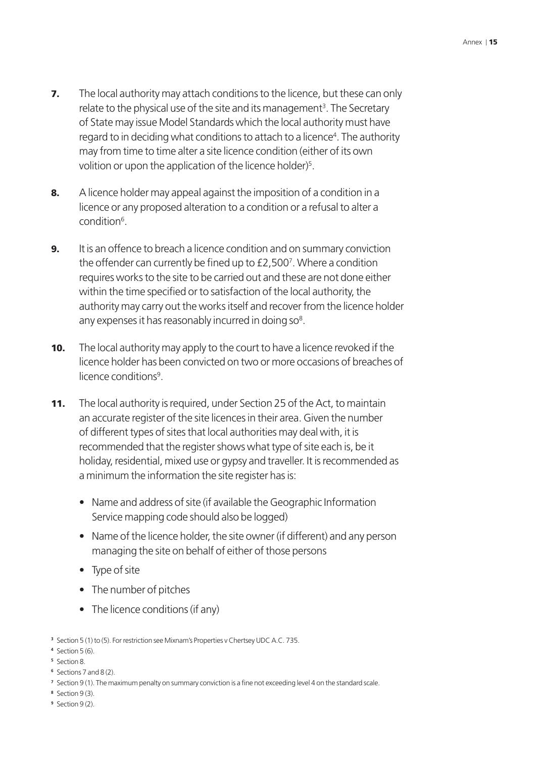- **7.** The local authority may attach conditions to the licence, but these can only relate to the physical use of the site and its management<sup>3</sup>. The Secretary of State may issue Model Standards which the local authority must have regard to in deciding what conditions to attach to a licence<sup>4</sup>. The authority may from time to time alter a site licence condition (either of its own volition or upon the application of the licence holder)<sup>5</sup>.
- 8. A licence holder may appeal against the imposition of a condition in a licence or any proposed alteration to a condition or a refusal to alter a condition<sup>6</sup>.
- **9.** It is an offence to breach a licence condition and on summary conviction the offender can currently be fined up to £2,5007 . Where a condition requires works to the site to be carried out and these are not done either within the time specified or to satisfaction of the local authority, the authority may carry out the works itself and recover from the licence holder any expenses it has reasonably incurred in doing so $8$ .
- **10.** The local authority may apply to the court to have a licence revoked if the licence holder has been convicted on two or more occasions of breaches of licence conditions<sup>9</sup>.
- 11. The local authority is required, under Section 25 of the Act, to maintain an accurate register of the site licences in their area. Given the number of different types of sites that local authorities may deal with, it is recommended that the register shows what type of site each is, be it holiday, residential, mixed use or gypsy and traveller. It is recommended as a minimum the information the site register has is:
	- Name and address of site (if available the Geographic Information Service mapping code should also be logged)
	- Name of the licence holder, the site owner (if different) and any person managing the site on behalf of either of those persons
	- Type of site
	- The number of pitches
	- The licence conditions (if any)

**<sup>6</sup>** Sections 7 and 8 (2).

- **<sup>8</sup>** Section 9 (3).
- **<sup>9</sup>** Section 9 (2).

**<sup>3</sup>** Section 5 (1) to (5). For restriction see Mixnam's Properties v Chertsey UDC A.C. 735.

**<sup>4</sup>** Section 5 (6).

**<sup>5</sup>** Section 8.

**<sup>7</sup>** Section 9 (1). The maximum penalty on summary conviction is a fine not exceeding level 4 on the standard scale.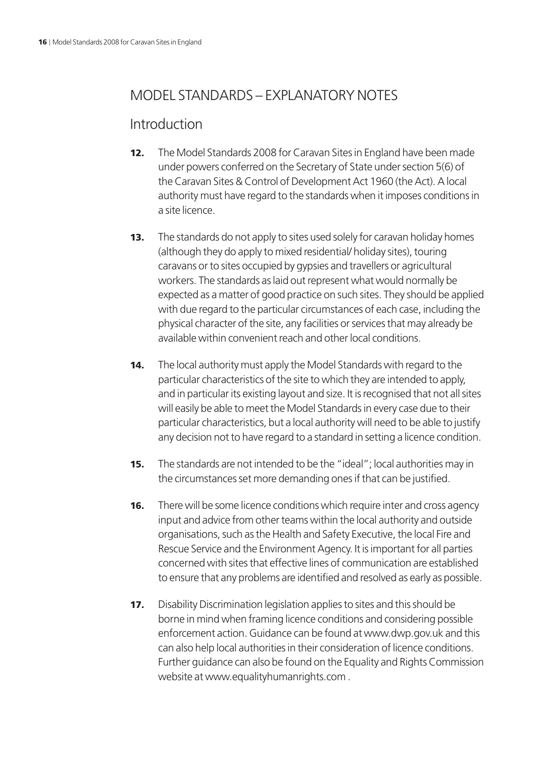### MODEL STANDARDS – EXPLANATORY NOTES

### Introduction

- **12.** The Model Standards 2008 for Caravan Sites in England have been made under powers conferred on the Secretary of State under section 5(6) of the Caravan Sites & Control of Development Act 1960 (the Act). A local authority must have regard to the standards when it imposes conditions in a site licence.
- **13.** The standards do not apply to sites used solely for caravan holiday homes (although they do apply to mixed residential/ holiday sites), touring caravans or to sites occupied by gypsies and travellers or agricultural workers. The standards as laid out represent what would normally be expected as a matter of good practice on such sites. They should be applied with due regard to the particular circumstances of each case, including the physical character of the site, any facilities or services that may already be available within convenient reach and other local conditions.
- 14. The local authority must apply the Model Standards with regard to the particular characteristics of the site to which they are intended to apply, and in particular its existing layout and size. It is recognised that not all sites will easily be able to meet the Model Standards in every case due to their particular characteristics, but a local authority will need to be able to justify any decision not to have regard to a standard in setting a licence condition.
- **15.** The standards are not intended to be the "ideal"; local authorities may in the circumstances set more demanding ones if that can be justified.
- **16.** There will be some licence conditions which require inter and cross agency input and advice from other teams within the local authority and outside organisations, such as the Health and Safety Executive, the local Fire and Rescue Service and the Environment Agency. It is important for all parties concerned with sites that effective lines of communication are established to ensure that any problems are identified and resolved as early as possible.
- **17.** Disability Discrimination legislation applies to sites and this should be borne in mind when framing licence conditions and considering possible enforcement action. Guidance can be found at www.dwp.gov.uk and this can also help local authorities in their consideration of licence conditions. Further guidance can also be found on the Equality and Rights Commission website at www.equalityhumanrights.com .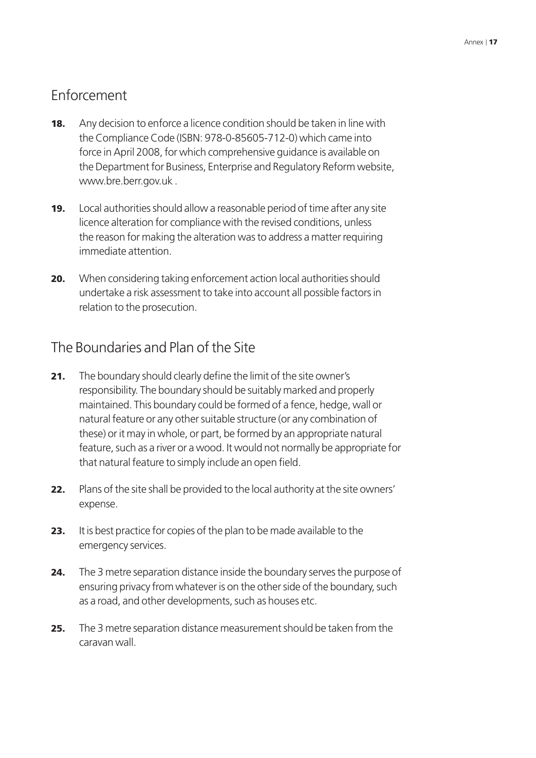## Enforcement

- **18.** Any decision to enforce a licence condition should be taken in line with the Compliance Code (ISBN: 978-0-85605-712-0) which came into force in April 2008, for which comprehensive guidance is available on the Department for Business, Enterprise and Regulatory Reform website, www.bre.berr.gov.uk .
- **19.** Local authorities should allow a reasonable period of time after any site licence alteration for compliance with the revised conditions, unless the reason for making the alteration was to address a matter requiring immediate attention.
- 20. When considering taking enforcement action local authorities should undertake a risk assessment to take into account all possible factors in relation to the prosecution.

### The Boundaries and Plan of the Site

- **21.** The boundary should clearly define the limit of the site owner's responsibility. The boundary should be suitably marked and properly maintained. This boundary could be formed of a fence, hedge, wall or natural feature or any other suitable structure (or any combination of these) or it may in whole, or part, be formed by an appropriate natural feature, such as a river or a wood. It would not normally be appropriate for that natural feature to simply include an open field.
- 22. Plans of the site shall be provided to the local authority at the site owners' expense.
- 23. It is best practice for copies of the plan to be made available to the emergency services.
- 24. The 3 metre separation distance inside the boundary serves the purpose of ensuring privacy from whatever is on the other side of the boundary, such as a road, and other developments, such as houses etc.
- 25. The 3 metre separation distance measurement should be taken from the caravan wall.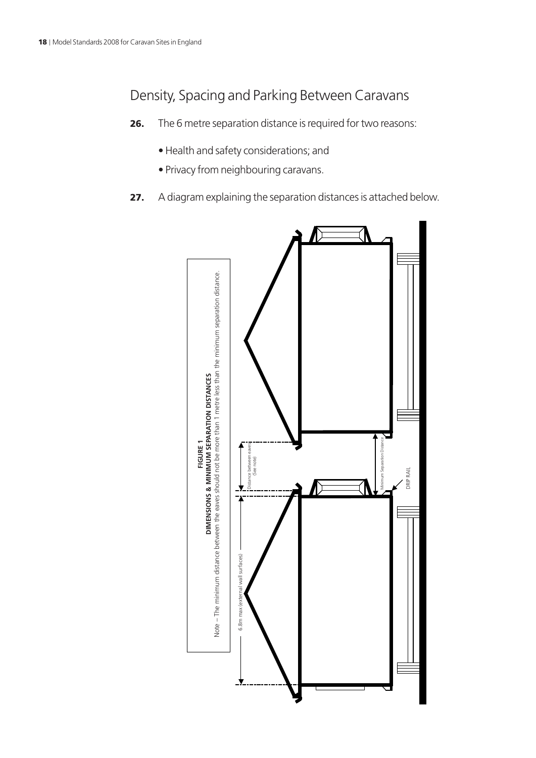## Density, Spacing and Parking Between Caravans

- 26. The 6 metre separation distance is required for two reasons:
	- Health and safety considerations; and
	- Privacy from neighbouring caravans.
- 27. A diagram explaining the separation distances is attached below.

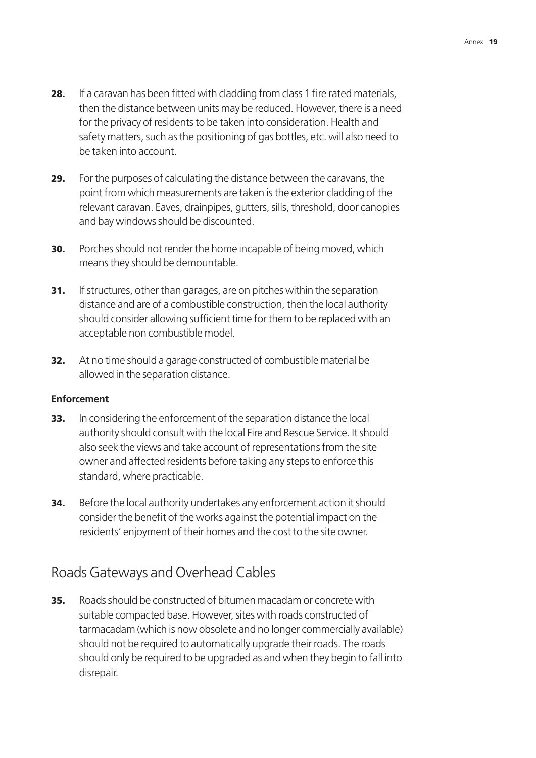- 28. If a caravan has been fitted with cladding from class 1 fire rated materials, then the distance between units may be reduced. However, there is a need for the privacy of residents to be taken into consideration. Health and safety matters, such as the positioning of gas bottles, etc. will also need to be taken into account.
- 29. For the purposes of calculating the distance between the caravans, the point from which measurements are taken is the exterior cladding of the relevant caravan. Eaves, drainpipes, gutters, sills, threshold, door canopies and bay windows should be discounted.
- **30.** Porches should not render the home incapable of being moved, which means they should be demountable.
- 31. If structures, other than garages, are on pitches within the separation distance and are of a combustible construction, then the local authority should consider allowing sufficient time for them to be replaced with an acceptable non combustible model.
- 32. At no time should a garage constructed of combustible material be allowed in the separation distance.

### **Enforcement**

- 33. In considering the enforcement of the separation distance the local authority should consult with the local Fire and Rescue Service. It should also seek the views and take account of representations from the site owner and affected residents before taking any steps to enforce this standard, where practicable.
- **34.** Before the local authority undertakes any enforcement action it should consider the benefit of the works against the potential impact on the residents' enjoyment of their homes and the cost to the site owner.

### Roads Gateways and Overhead Cables

35. Roads should be constructed of bitumen macadam or concrete with suitable compacted base. However, sites with roads constructed of tarmacadam (which is now obsolete and no longer commercially available) should not be required to automatically upgrade their roads. The roads should only be required to be upgraded as and when they begin to fall into disrepair.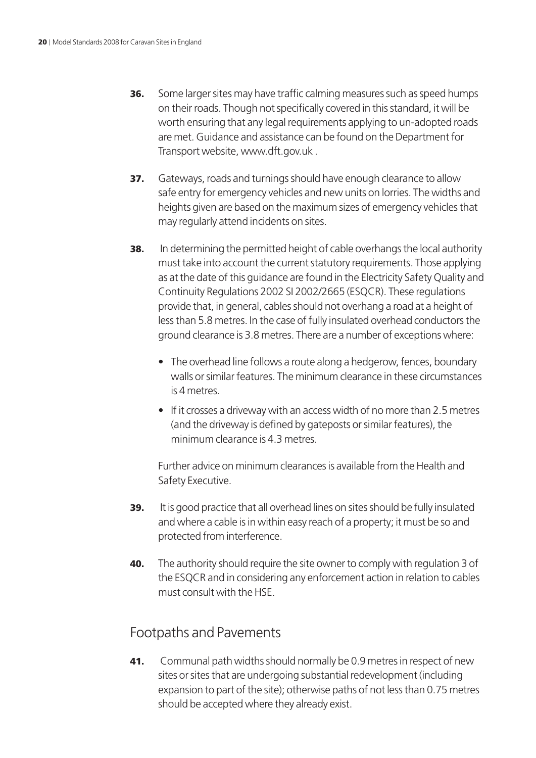- **36.** Some larger sites may have traffic calming measures such as speed humps on their roads. Though not specifically covered in this standard, it will be worth ensuring that any legal requirements applying to un-adopted roads are met. Guidance and assistance can be found on the Department for Transport website, www.dft.gov.uk .
- **37.** Gateways, roads and turnings should have enough clearance to allow safe entry for emergency vehicles and new units on lorries. The widths and heights given are based on the maximum sizes of emergency vehicles that may regularly attend incidents on sites.
- **38.** In determining the permitted height of cable overhangs the local authority must take into account the current statutory requirements. Those applying as at the date of this guidance are found in the Electricity Safety Quality and Continuity Regulations 2002 SI 2002/2665 (ESQCR). These regulations provide that, in general, cables should not overhang a road at a height of less than 5.8 metres. In the case of fully insulated overhead conductors the ground clearance is 3.8 metres. There are a number of exceptions where:
	- The overhead line follows a route along a hedgerow, fences, boundary walls or similar features. The minimum clearance in these circumstances is 4 metres.
	- If it crosses a driveway with an access width of no more than 2.5 metres (and the driveway is defined by gateposts or similar features), the minimum clearance is 4.3 metres.

Further advice on minimum clearances is available from the Health and Safety Executive.

- 39. It is good practice that all overhead lines on sites should be fully insulated and where a cable is in within easy reach of a property; it must be so and protected from interference.
- **40.** The authority should require the site owner to comply with regulation 3 of the ESQCR and in considering any enforcement action in relation to cables must consult with the HSE.

### Footpaths and Pavements

41. Communal path widths should normally be 0.9 metres in respect of new sites or sites that are undergoing substantial redevelopment (including expansion to part of the site); otherwise paths of not less than 0.75 metres should be accepted where they already exist.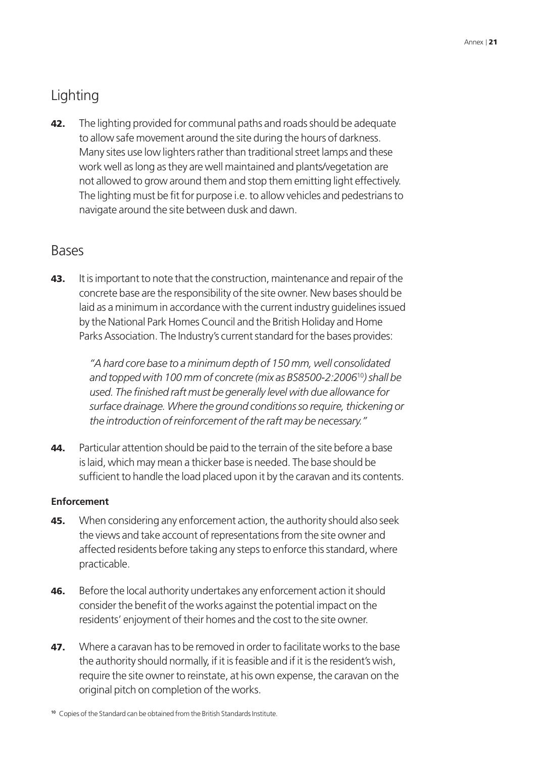## **Lighting**

42. The lighting provided for communal paths and roads should be adequate to allow safe movement around the site during the hours of darkness. Many sites use low lighters rather than traditional street lamps and these work well as long as they are well maintained and plants/vegetation are not allowed to grow around them and stop them emitting light effectively. The lighting must be fit for purpose i.e. to allow vehicles and pedestrians to navigate around the site between dusk and dawn.

### Bases

43. It is important to note that the construction, maintenance and repair of the concrete base are the responsibility of the site owner. New bases should be laid as a minimum in accordance with the current industry guidelines issued by the National Park Homes Council and the British Holiday and Home Parks Association. The Industry's current standard for the bases provides:

> *"A hard core base to a minimum depth of 150 mm, well consolidated and topped with 100 mm of concrete (mix as BS8500-2:2006*<sup>10</sup>*) shall be used. The finished raft must be generally level with due allowance for surface drainage. Where the ground conditions so require, thickening or the introduction of reinforcement of the raft may be necessary."*

44. Particular attention should be paid to the terrain of the site before a base is laid, which may mean a thicker base is needed. The base should be sufficient to handle the load placed upon it by the caravan and its contents.

### **Enforcement**

- **45.** When considering any enforcement action, the authority should also seek the views and take account of representations from the site owner and affected residents before taking any steps to enforce this standard, where practicable.
- **46.** Before the local authority undertakes any enforcement action it should consider the benefit of the works against the potential impact on the residents' enjoyment of their homes and the cost to the site owner.
- 47. Where a caravan has to be removed in order to facilitate works to the base the authority should normally, if it is feasible and if it is the resident's wish, require the site owner to reinstate, at his own expense, the caravan on the original pitch on completion of the works.

**<sup>10</sup>** Copies of the Standard can be obtained from the British Standards Institute.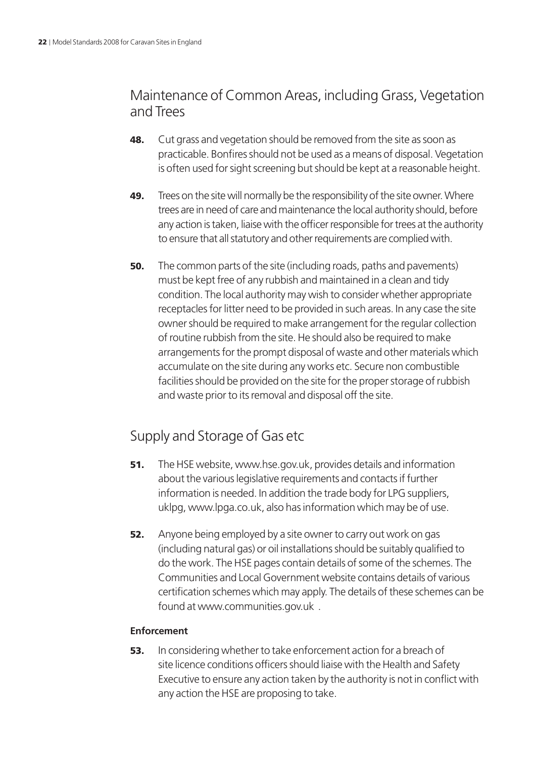## Maintenance of Common Areas, including Grass, Vegetation and Trees

- **48.** Cut grass and vegetation should be removed from the site as soon as practicable. Bonfires should not be used as a means of disposal. Vegetation is often used for sight screening but should be kept at a reasonable height.
- 49. Trees on the site will normally be the responsibility of the site owner. Where trees are in need of care and maintenance the local authority should, before any action is taken, liaise with the officer responsible for trees at the authority to ensure that all statutory and other requirements are complied with.
- **50.** The common parts of the site (including roads, paths and pavements) must be kept free of any rubbish and maintained in a clean and tidy condition. The local authority may wish to consider whether appropriate receptacles for litter need to be provided in such areas. In any case the site owner should be required to make arrangement for the regular collection of routine rubbish from the site. He should also be required to make arrangements for the prompt disposal of waste and other materials which accumulate on the site during any works etc. Secure non combustible facilities should be provided on the site for the proper storage of rubbish and waste prior to its removal and disposal off the site.

## Supply and Storage of Gas etc

- **51.** The HSE website, www.hse.gov.uk, provides details and information about the various legislative requirements and contacts if further information is needed. In addition the trade body for LPG suppliers, uklpg, www.lpga.co.uk, also has information which may be of use.
- **52.** Anyone being employed by a site owner to carry out work on gas (including natural gas) or oil installations should be suitably qualified to do the work. The HSE pages contain details of some of the schemes. The Communities and Local Government website contains details of various certification schemes which may apply. The details of these schemes can be found at www.communities.gov.uk .

### **Enforcement**

**53.** In considering whether to take enforcement action for a breach of site licence conditions officers should liaise with the Health and Safety Executive to ensure any action taken by the authority is not in conflict with any action the HSE are proposing to take.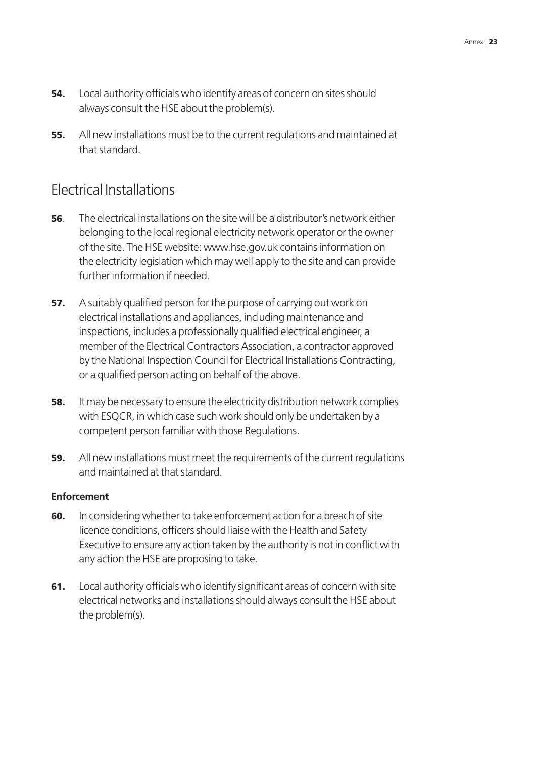- **54.** Local authority officials who identify areas of concern on sites should always consult the HSE about the problem(s).
- 55. All new installations must be to the current regulations and maintained at that standard.

### Electrical Installations

- 56. The electrical installations on the site will be a distributor's network either belonging to the local regional electricity network operator or the owner of the site. The HSE website: www.hse.gov.uk contains information on the electricity legislation which may well apply to the site and can provide further information if needed.
- **57.** A suitably qualified person for the purpose of carrying out work on electrical installations and appliances, including maintenance and inspections, includes a professionally qualified electrical engineer, a member of the Electrical Contractors Association, a contractor approved by the National Inspection Council for Electrical Installations Contracting, or a qualified person acting on behalf of the above.
- **58.** It may be necessary to ensure the electricity distribution network complies with ESQCR, in which case such work should only be undertaken by a competent person familiar with those Regulations.
- **59.** All new installations must meet the requirements of the current regulations and maintained at that standard.

### **Enforcement**

- **60.** In considering whether to take enforcement action for a breach of site licence conditions, officers should liaise with the Health and Safety Executive to ensure any action taken by the authority is not in conflict with any action the HSE are proposing to take.
- 61. Local authority officials who identify significant areas of concern with site electrical networks and installations should always consult the HSE about the problem(s).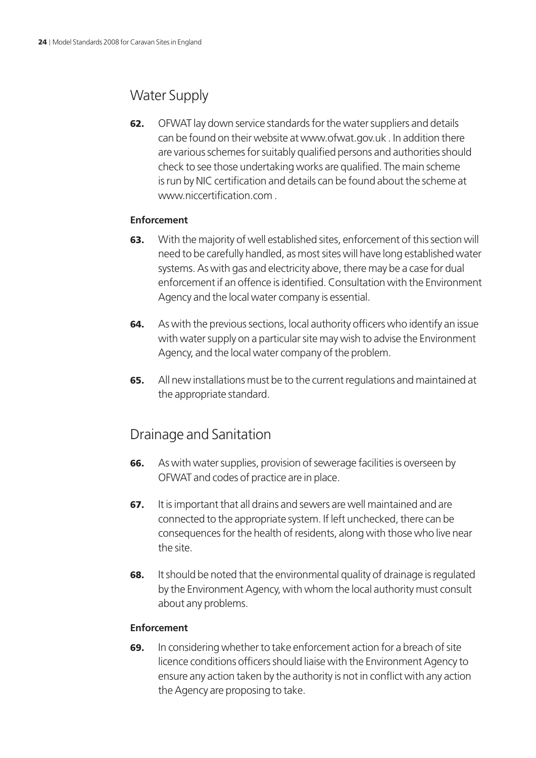## Water Supply

62. OFWAT lay down service standards for the water suppliers and details can be found on their website at www.ofwat.gov.uk . In addition there are various schemes for suitably qualified persons and authorities should check to see those undertaking works are qualified. The main scheme is run by NIC certification and details can be found about the scheme at www.niccertification.com

### **Enforcement**

- **63.** With the majority of well established sites, enforcement of this section will need to be carefully handled, as most sites will have long established water systems. As with gas and electricity above, there may be a case for dual enforcement if an offence is identified. Consultation with the Environment Agency and the local water company is essential.
- 64. As with the previous sections, local authority officers who identify an issue with water supply on a particular site may wish to advise the Environment Agency, and the local water company of the problem.
- 65. All new installations must be to the current regulations and maintained at the appropriate standard.

### Drainage and Sanitation

- 66. As with water supplies, provision of sewerage facilities is overseen by OFWAT and codes of practice are in place.
- 67. It is important that all drains and sewers are well maintained and are connected to the appropriate system. If left unchecked, there can be consequences for the health of residents, along with those who live near the site.
- **68.** It should be noted that the environmental quality of drainage is regulated by the Environment Agency, with whom the local authority must consult about any problems.

### **Enforcement**

69. In considering whether to take enforcement action for a breach of site licence conditions officers should liaise with the Environment Agency to ensure any action taken by the authority is not in conflict with any action the Agency are proposing to take.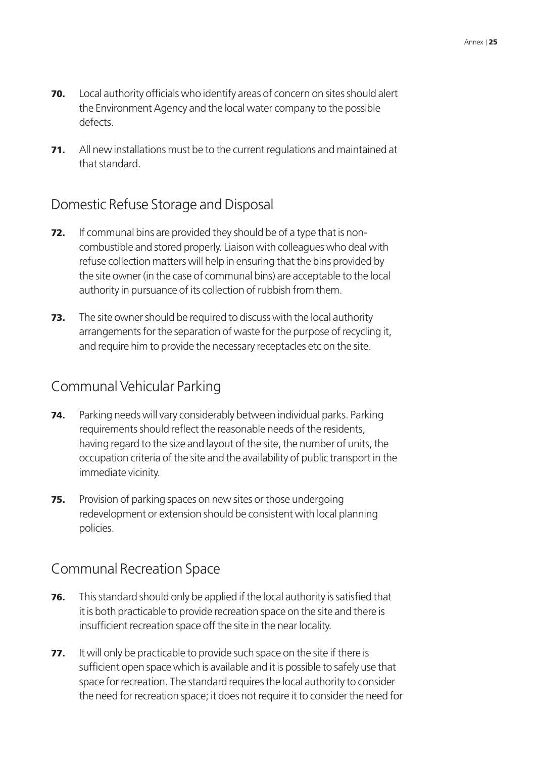- 70. Local authority officials who identify areas of concern on sites should alert the Environment Agency and the local water company to the possible defects.
- 71. All new installations must be to the current regulations and maintained at that standard.

### Domestic Refuse Storage and Disposal

- **72.** If communal bins are provided they should be of a type that is noncombustible and stored properly. Liaison with colleagues who deal with refuse collection matters will help in ensuring that the bins provided by the site owner (in the case of communal bins) are acceptable to the local authority in pursuance of its collection of rubbish from them.
- **73.** The site owner should be required to discuss with the local authority arrangements for the separation of waste for the purpose of recycling it, and require him to provide the necessary receptacles etc on the site.

### Communal Vehicular Parking

- **74.** Parking needs will vary considerably between individual parks. Parking requirements should reflect the reasonable needs of the residents, having regard to the size and layout of the site, the number of units, the occupation criteria of the site and the availability of public transport in the immediate vicinity.
- 75. Provision of parking spaces on new sites or those undergoing redevelopment or extension should be consistent with local planning policies.

### Communal Recreation Space

- **76.** This standard should only be applied if the local authority is satisfied that it is both practicable to provide recreation space on the site and there is insufficient recreation space off the site in the near locality.
- **77.** It will only be practicable to provide such space on the site if there is sufficient open space which is available and it is possible to safely use that space for recreation. The standard requires the local authority to consider the need for recreation space; it does not require it to consider the need for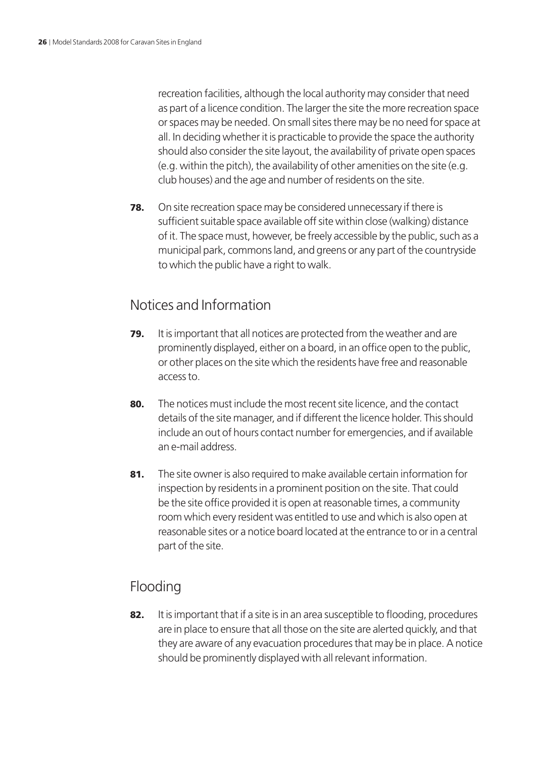recreation facilities, although the local authority may consider that need as part of a licence condition. The larger the site the more recreation space or spaces may be needed. On small sites there may be no need for space at all. In deciding whether it is practicable to provide the space the authority should also consider the site layout, the availability of private open spaces (e.g. within the pitch), the availability of other amenities on the site (e.g. club houses) and the age and number of residents on the site.

**78.** On site recreation space may be considered unnecessary if there is sufficient suitable space available off site within close (walking) distance of it. The space must, however, be freely accessible by the public, such as a municipal park, commons land, and greens or any part of the countryside to which the public have a right to walk.

### Notices and Information

- **79.** It is important that all notices are protected from the weather and are prominently displayed, either on a board, in an office open to the public, or other places on the site which the residents have free and reasonable access to.
- 80. The notices must include the most recent site licence, and the contact details of the site manager, and if different the licence holder. This should include an out of hours contact number for emergencies, and if available an e-mail address.
- 81. The site owner is also required to make available certain information for inspection by residents in a prominent position on the site. That could be the site office provided it is open at reasonable times, a community room which every resident was entitled to use and which is also open at reasonable sites or a notice board located at the entrance to or in a central part of the site.

## Flooding

82. It is important that if a site is in an area susceptible to flooding, procedures are in place to ensure that all those on the site are alerted quickly, and that they are aware of any evacuation procedures that may be in place. A notice should be prominently displayed with all relevant information.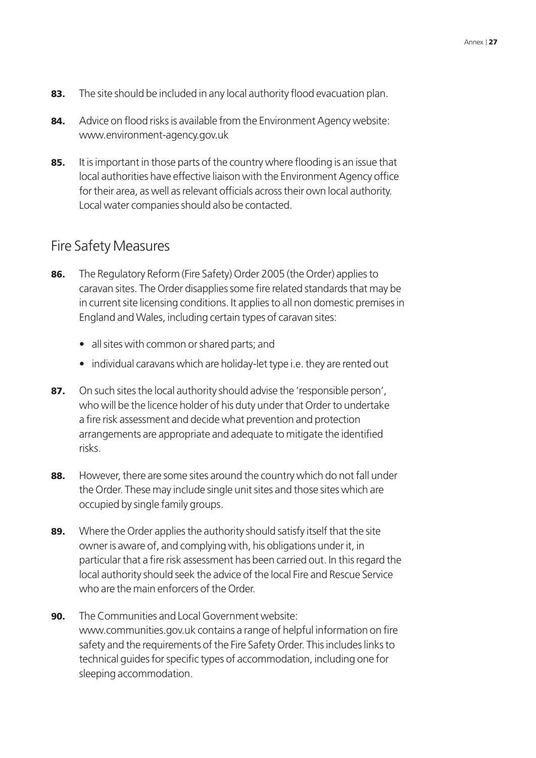- 83. The site should be included in any local authority flood evacuation plan.
- 84. Advice on flood risks is available from the Environment Agency website: www.environment-agency.gov.uk
- 85. It is important in those parts of the country where flooding is an issue that local authorities have effective liaison with the Environment Agency office for their area, as well as relevant officials across their own local authority. Local water companies should also be contacted.

### Fire Safety Measures

- 86. The Regulatory Reform (Fire Safety) Order 2005 (the Order) applies to caravan sites. The Order disapplies some fire related standards that may be in current site licensing conditions. It applies to all non domestic premises in England and Wales, including certain types of caravan sites:
	- all sites with common or shared parts; and
	- individual caravans which are holiday-let type i.e. they are rented out
- 87. On such sites the local authority should advise the 'responsible person', who will be the licence holder of his duty under that Order to undertake a fire risk assessment and decide what prevention and protection arrangements are appropriate and adequate to mitigate the identified risks.
- 88. However, there are some sites around the country which do not fall under the Order. These may include single unit sites and those sites which are occupied by single family groups.
- 89. Where the Order applies the authority should satisfy itself that the site owner is aware of, and complying with, his obligations under it, in particular that a fire risk assessment has been carried out. In this regard the local authority should seek the advice of the local Fire and Rescue Service who are the main enforcers of the Order.
- 90. The Communities and Local Government website: www.communities.gov.uk contains a range of helpful information on fire safety and the requirements of the Fire Safety Order. This includes links to technical guides for specific types of accommodation, including one for sleeping accommodation.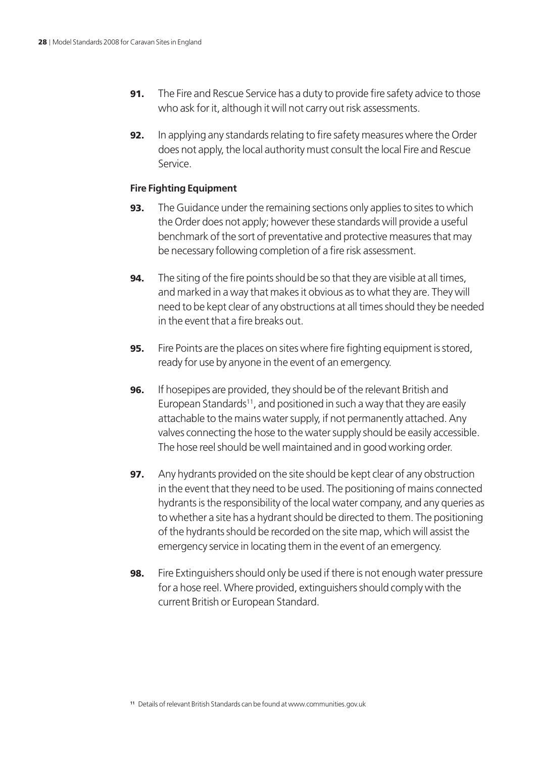- **91.** The Fire and Rescue Service has a duty to provide fire safety advice to those who ask for it, although it will not carry out risk assessments.
- **92.** In applying any standards relating to fire safety measures where the Order does not apply, the local authority must consult the local Fire and Rescue Service.

### **Fire Fighting Equipment**

- **93.** The Guidance under the remaining sections only applies to sites to which the Order does not apply; however these standards will provide a useful benchmark of the sort of preventative and protective measures that may be necessary following completion of a fire risk assessment.
- **94.** The siting of the fire points should be so that they are visible at all times, and marked in a way that makes it obvious as to what they are. They will need to be kept clear of any obstructions at all times should they be needed in the event that a fire breaks out.
- **95.** Fire Points are the places on sites where fire fighting equipment is stored, ready for use by anyone in the event of an emergency.
- **96.** If hosepipes are provided, they should be of the relevant British and European Standards<sup>11</sup>, and positioned in such a way that they are easily attachable to the mains water supply, if not permanently attached. Any valves connecting the hose to the water supply should be easily accessible. The hose reel should be well maintained and in good working order.
- **97.** Any hydrants provided on the site should be kept clear of any obstruction in the event that they need to be used. The positioning of mains connected hydrants is the responsibility of the local water company, and any queries as to whether a site has a hydrant should be directed to them. The positioning of the hydrants should be recorded on the site map, which will assist the emergency service in locating them in the event of an emergency.
- **98.** Fire Extinguishers should only be used if there is not enough water pressure for a hose reel. Where provided, extinguishers should comply with the current British or European Standard.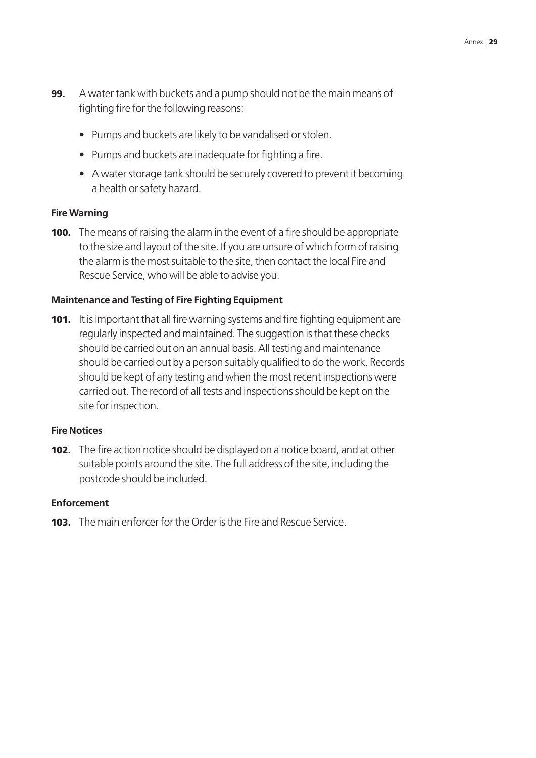- **99.** A water tank with buckets and a pump should not be the main means of fighting fire for the following reasons:
	- Pumps and buckets are likely to be vandalised or stolen.
	- Pumps and buckets are inadequate for fighting a fire.
	- A water storage tank should be securely covered to prevent it becoming a health or safety hazard.

#### **Fire Warning**

**100.** The means of raising the alarm in the event of a fire should be appropriate to the size and layout of the site. If you are unsure of which form of raising the alarm is the most suitable to the site, then contact the local Fire and Rescue Service, who will be able to advise you.

### **Maintenance and Testing of Fire Fighting Equipment**

**101.** It is important that all fire warning systems and fire fighting equipment are regularly inspected and maintained. The suggestion is that these checks should be carried out on an annual basis. All testing and maintenance should be carried out by a person suitably qualified to do the work. Records should be kept of any testing and when the most recent inspections were carried out. The record of all tests and inspections should be kept on the site for inspection.

#### **Fire Notices**

**102.** The fire action notice should be displayed on a notice board, and at other suitable points around the site. The full address of the site, including the postcode should be included.

#### **Enforcement**

103. The main enforcer for the Order is the Fire and Rescue Service.